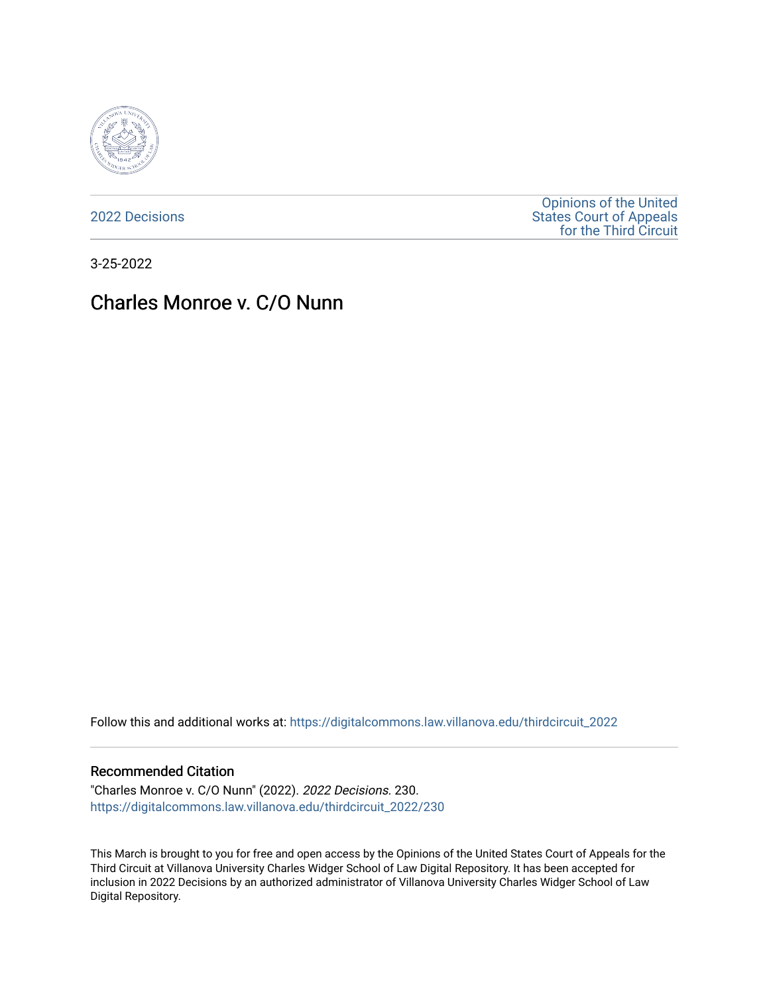

[2022 Decisions](https://digitalcommons.law.villanova.edu/thirdcircuit_2022)

[Opinions of the United](https://digitalcommons.law.villanova.edu/thirdcircuit)  [States Court of Appeals](https://digitalcommons.law.villanova.edu/thirdcircuit)  [for the Third Circuit](https://digitalcommons.law.villanova.edu/thirdcircuit) 

3-25-2022

# Charles Monroe v. C/O Nunn

Follow this and additional works at: [https://digitalcommons.law.villanova.edu/thirdcircuit\\_2022](https://digitalcommons.law.villanova.edu/thirdcircuit_2022?utm_source=digitalcommons.law.villanova.edu%2Fthirdcircuit_2022%2F230&utm_medium=PDF&utm_campaign=PDFCoverPages) 

#### Recommended Citation

"Charles Monroe v. C/O Nunn" (2022). 2022 Decisions. 230. [https://digitalcommons.law.villanova.edu/thirdcircuit\\_2022/230](https://digitalcommons.law.villanova.edu/thirdcircuit_2022/230?utm_source=digitalcommons.law.villanova.edu%2Fthirdcircuit_2022%2F230&utm_medium=PDF&utm_campaign=PDFCoverPages)

This March is brought to you for free and open access by the Opinions of the United States Court of Appeals for the Third Circuit at Villanova University Charles Widger School of Law Digital Repository. It has been accepted for inclusion in 2022 Decisions by an authorized administrator of Villanova University Charles Widger School of Law Digital Repository.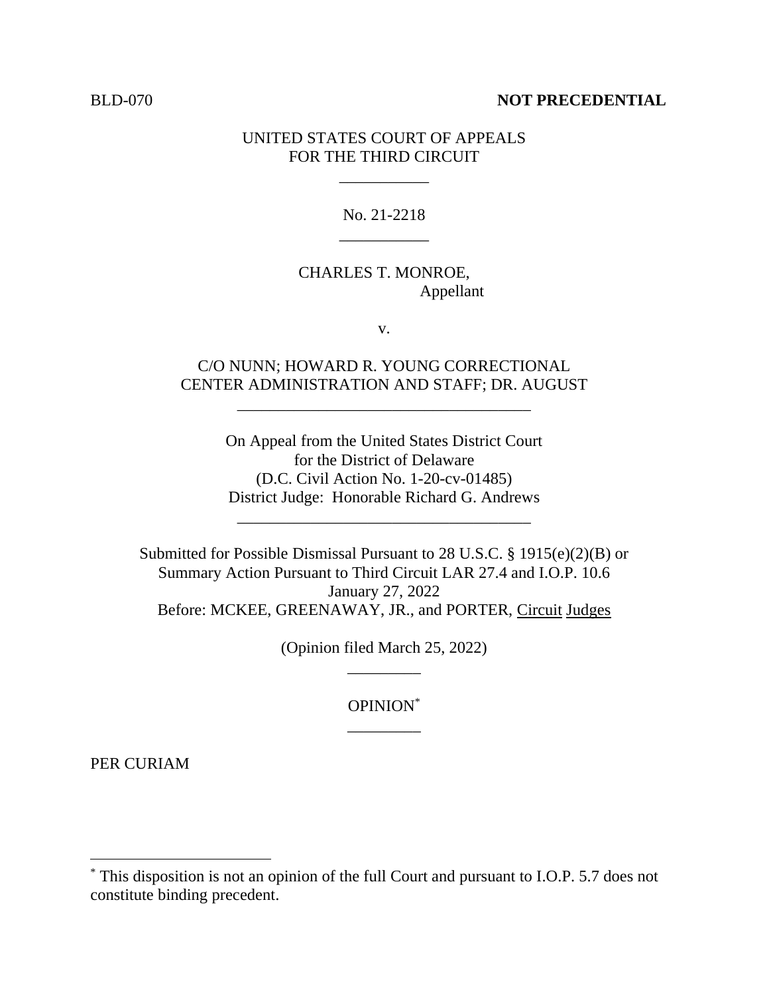#### BLD-070 **NOT PRECEDENTIAL**

#### UNITED STATES COURT OF APPEALS FOR THE THIRD CIRCUIT

\_\_\_\_\_\_\_\_\_\_\_

No. 21-2218 \_\_\_\_\_\_\_\_\_\_\_

## CHARLES T. MONROE, Appellant

v.

### C/O NUNN; HOWARD R. YOUNG CORRECTIONAL CENTER ADMINISTRATION AND STAFF; DR. AUGUST

\_\_\_\_\_\_\_\_\_\_\_\_\_\_\_\_\_\_\_\_\_\_\_\_\_\_\_\_\_\_\_\_\_\_\_\_

On Appeal from the United States District Court for the District of Delaware (D.C. Civil Action No. 1-20-cv-01485) District Judge: Honorable Richard G. Andrews

\_\_\_\_\_\_\_\_\_\_\_\_\_\_\_\_\_\_\_\_\_\_\_\_\_\_\_\_\_\_\_\_\_\_\_\_

Submitted for Possible Dismissal Pursuant to 28 U.S.C. § 1915(e)(2)(B) or Summary Action Pursuant to Third Circuit LAR 27.4 and I.O.P. 10.6 January 27, 2022 Before: MCKEE, GREENAWAY, JR., and PORTER, Circuit Judges

> (Opinion filed March 25, 2022) \_\_\_\_\_\_\_\_\_

> > OPINION\* \_\_\_\_\_\_\_\_\_

PER CURIAM

<sup>\*</sup> This disposition is not an opinion of the full Court and pursuant to I.O.P. 5.7 does not constitute binding precedent.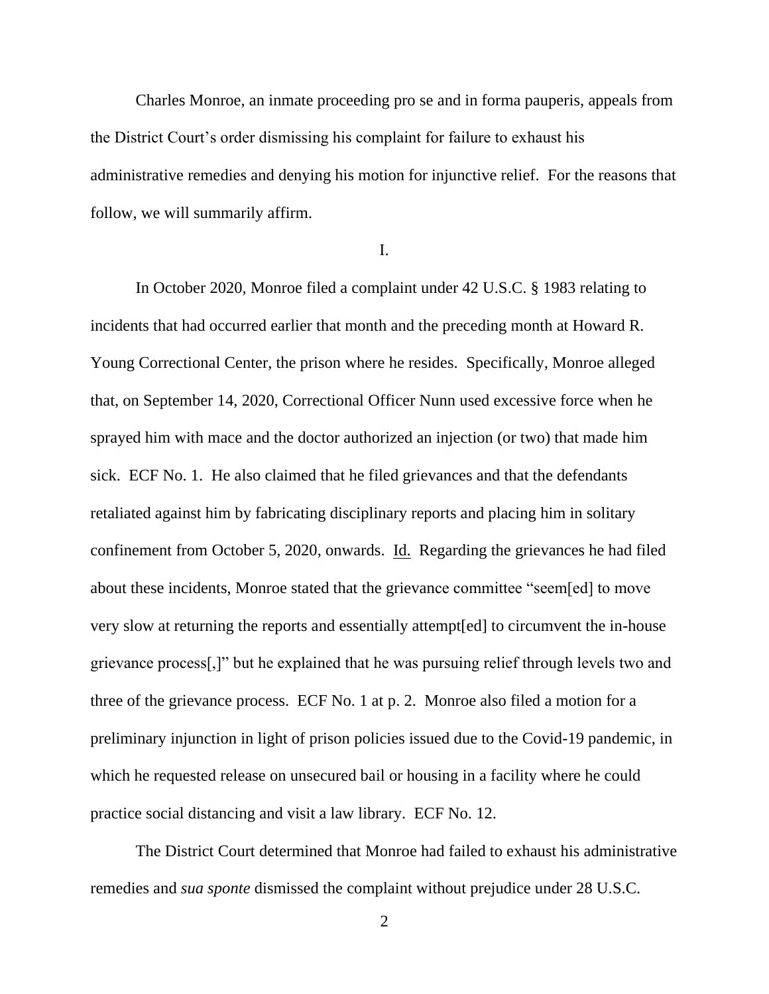Charles Monroe, an inmate proceeding pro se and in forma pauperis, appeals from the District Court's order dismissing his complaint for failure to exhaust his administrative remedies and denying his motion for injunctive relief. For the reasons that follow, we will summarily affirm.

I.

In October 2020, Monroe filed a complaint under 42 U.S.C. § 1983 relating to incidents that had occurred earlier that month and the preceding month at Howard R. Young Correctional Center, the prison where he resides. Specifically, Monroe alleged that, on September 14, 2020, Correctional Officer Nunn used excessive force when he sprayed him with mace and the doctor authorized an injection (or two) that made him sick. ECF No. 1. He also claimed that he filed grievances and that the defendants retaliated against him by fabricating disciplinary reports and placing him in solitary confinement from October 5, 2020, onwards. Id. Regarding the grievances he had filed about these incidents, Monroe stated that the grievance committee "seem[ed] to move very slow at returning the reports and essentially attempt[ed] to circumvent the in-house grievance process[,]" but he explained that he was pursuing relief through levels two and three of the grievance process. ECF No. 1 at p. 2. Monroe also filed a motion for a preliminary injunction in light of prison policies issued due to the Covid-19 pandemic, in which he requested release on unsecured bail or housing in a facility where he could practice social distancing and visit a law library. ECF No. 12.

The District Court determined that Monroe had failed to exhaust his administrative remedies and *sua sponte* dismissed the complaint without prejudice under 28 U.S.C.

2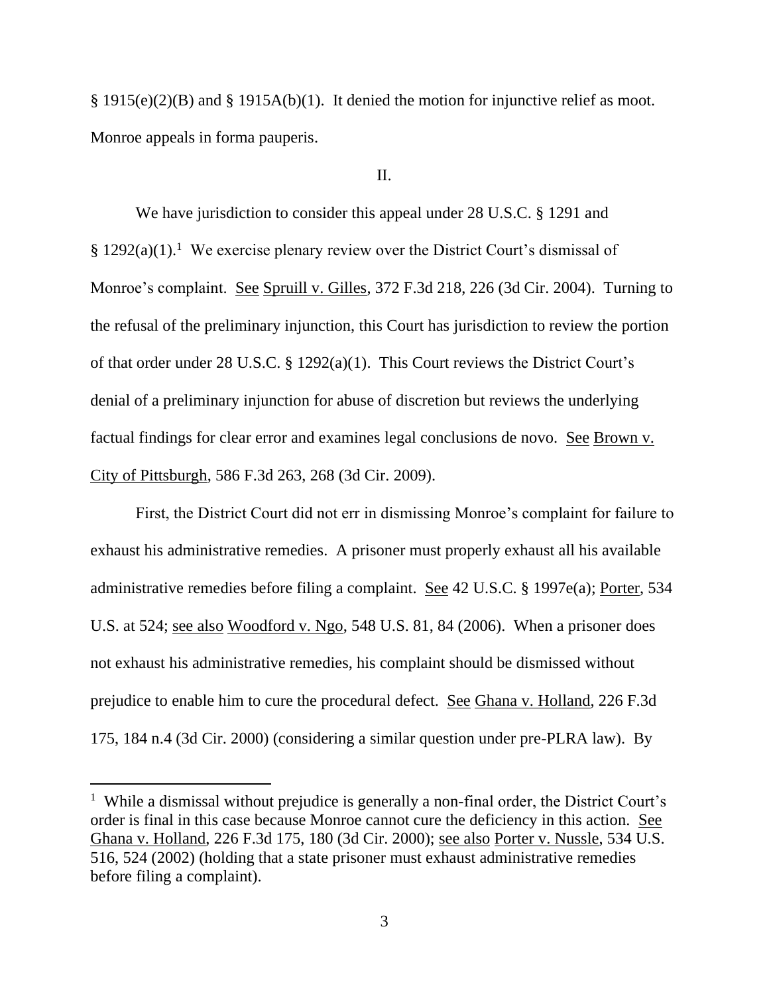§ 1915(e)(2)(B) and § 1915A(b)(1). It denied the motion for injunctive relief as moot. Monroe appeals in forma pauperis.

II.

We have jurisdiction to consider this appeal under 28 U.S.C. § 1291 and  $§ 1292(a)(1).<sup>1</sup>$  We exercise plenary review over the District Court's dismissal of Monroe's complaint. See Spruill v. Gilles, 372 F.3d 218, 226 (3d Cir. 2004). Turning to the refusal of the preliminary injunction, this Court has jurisdiction to review the portion of that order under 28 U.S.C. § 1292(a)(1). This Court reviews the District Court's denial of a preliminary injunction for abuse of discretion but reviews the underlying factual findings for clear error and examines legal conclusions de novo. See Brown v. City of Pittsburgh, 586 F.3d 263, 268 (3d Cir. 2009).

First, the District Court did not err in dismissing Monroe's complaint for failure to exhaust his administrative remedies. A prisoner must properly exhaust all his available administrative remedies before filing a complaint. See 42 U.S.C. § 1997e(a); Porter, 534 U.S. at 524; see also Woodford v. Ngo, 548 U.S. 81, 84 (2006). When a prisoner does not exhaust his administrative remedies, his complaint should be dismissed without prejudice to enable him to cure the procedural defect. See Ghana v. Holland, 226 F.3d 175, 184 n.4 (3d Cir. 2000) (considering a similar question under pre-PLRA law). By

<sup>&</sup>lt;sup>1</sup> While a dismissal without prejudice is generally a non-final order, the District Court's order is final in this case because Monroe cannot cure the deficiency in this action. See Ghana v. Holland, 226 F.3d 175, 180 (3d Cir. 2000); see also Porter v. Nussle, 534 U.S. 516, 524 (2002) (holding that a state prisoner must exhaust administrative remedies before filing a complaint).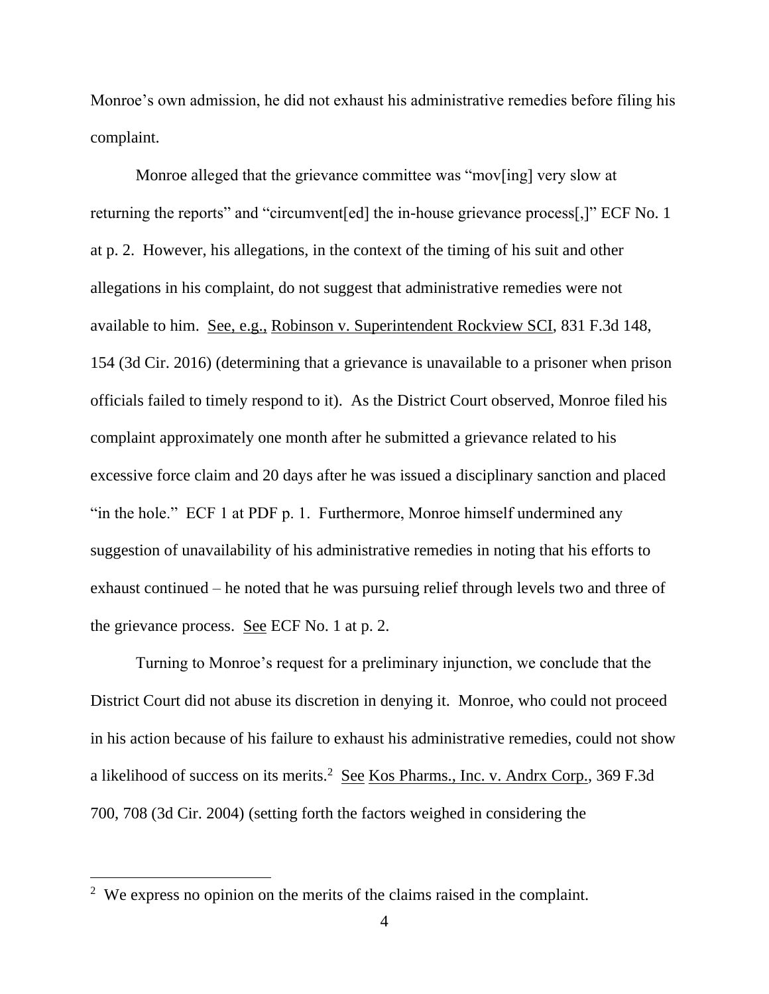Monroe's own admission, he did not exhaust his administrative remedies before filing his complaint.

Monroe alleged that the grievance committee was "mov[ing] very slow at returning the reports" and "circumvent[ed] the in-house grievance process[,]" ECF No. 1 at p. 2. However, his allegations, in the context of the timing of his suit and other allegations in his complaint, do not suggest that administrative remedies were not available to him. See, e.g., Robinson v. Superintendent Rockview SCI, 831 F.3d 148, 154 (3d Cir. 2016) (determining that a grievance is unavailable to a prisoner when prison officials failed to timely respond to it). As the District Court observed, Monroe filed his complaint approximately one month after he submitted a grievance related to his excessive force claim and 20 days after he was issued a disciplinary sanction and placed "in the hole." ECF 1 at PDF p. 1. Furthermore, Monroe himself undermined any suggestion of unavailability of his administrative remedies in noting that his efforts to exhaust continued – he noted that he was pursuing relief through levels two and three of the grievance process. See ECF No. 1 at p. 2.

Turning to Monroe's request for a preliminary injunction, we conclude that the District Court did not abuse its discretion in denying it. Monroe, who could not proceed in his action because of his failure to exhaust his administrative remedies, could not show a likelihood of success on its merits.<sup>2</sup> See Kos Pharms., Inc. v. Andrx Corp., 369 F.3d 700, 708 (3d Cir. 2004) (setting forth the factors weighed in considering the

 $2$  We express no opinion on the merits of the claims raised in the complaint.